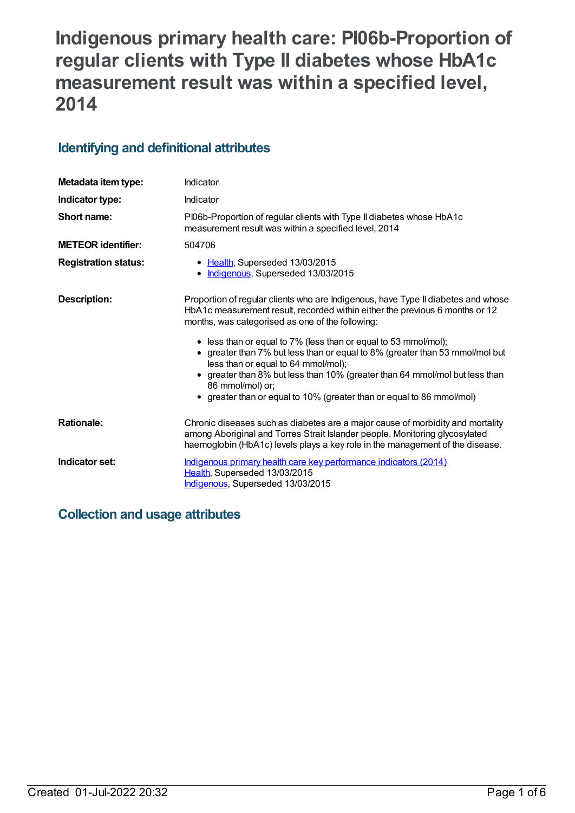# **Indigenous primary health care: PI06b-Proportion of regular clients with Type II diabetes whose HbA1c measurement result was within a specified level, 2014**

# **Identifying and definitional attributes**

| Metadata item type:         | Indicator                                                                                                                                                                                                                                                                                                                                                             |  |
|-----------------------------|-----------------------------------------------------------------------------------------------------------------------------------------------------------------------------------------------------------------------------------------------------------------------------------------------------------------------------------------------------------------------|--|
| Indicator type:             | Indicator                                                                                                                                                                                                                                                                                                                                                             |  |
| Short name:                 | PI06b-Proportion of regular clients with Type II diabetes whose HbA1c<br>measurement result was within a specified level, 2014                                                                                                                                                                                                                                        |  |
| <b>METEOR identifier:</b>   | 504706                                                                                                                                                                                                                                                                                                                                                                |  |
| <b>Registration status:</b> | • Health, Superseded 13/03/2015<br>Indigenous, Superseded 13/03/2015<br>$\bullet$                                                                                                                                                                                                                                                                                     |  |
| Description:                | Proportion of regular clients who are Indigenous, have Type II diabetes and whose<br>HbA1c measurement result, recorded within either the previous 6 months or 12<br>months, was categorised as one of the following:                                                                                                                                                 |  |
|                             | • less than or equal to 7% (less than or equal to 53 mmol/mol);<br>• greater than 7% but less than or equal to 8% (greater than 53 mmol/mol but<br>less than or equal to 64 mmol/mol);<br>greater than 8% but less than 10% (greater than 64 mmol/mol but less than<br>٠<br>86 mmol/mol) or;<br>• greater than or equal to 10% (greater than or equal to 86 mmol/mol) |  |
|                             |                                                                                                                                                                                                                                                                                                                                                                       |  |
| <b>Rationale:</b>           | Chronic diseases such as diabetes are a major cause of morbidity and mortality<br>among Aboriginal and Torres Strait Islander people. Monitoring glycosylated<br>haemoglobin (HbA1c) levels plays a key role in the management of the disease.                                                                                                                        |  |
| Indicator set:              | Indigenous primary health care key performance indicators (2014)<br>Health, Superseded 13/03/2015<br>Indigenous, Superseded 13/03/2015                                                                                                                                                                                                                                |  |

# **Collection and usage attributes**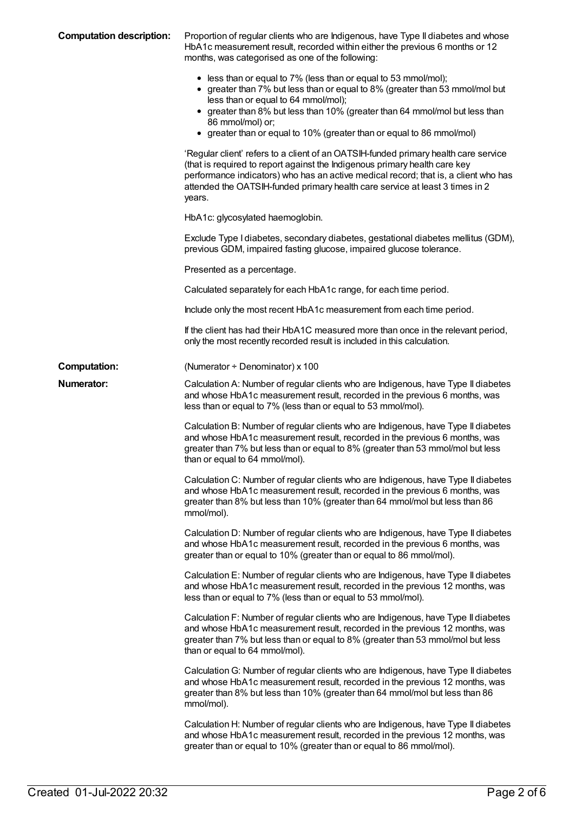| <b>Computation description:</b> | Proportion of regular clients who are Indigenous, have Type II diabetes and whose<br>HbA1c measurement result, recorded within either the previous 6 months or 12<br>months, was categorised as one of the following:                                                                                                                                              |
|---------------------------------|--------------------------------------------------------------------------------------------------------------------------------------------------------------------------------------------------------------------------------------------------------------------------------------------------------------------------------------------------------------------|
|                                 | • less than or equal to 7% (less than or equal to 53 mmol/mol);<br>• greater than 7% but less than or equal to 8% (greater than 53 mmol/mol but<br>less than or equal to 64 mmol/mol);<br>• greater than 8% but less than 10% (greater than 64 mmol/mol but less than<br>86 mmol/mol) or;<br>• greater than or equal to 10% (greater than or equal to 86 mmol/mol) |
|                                 | 'Regular client' refers to a client of an OATSIH-funded primary health care service<br>(that is required to report against the Indigenous primary health care key<br>performance indicators) who has an active medical record; that is, a client who has<br>attended the OATSIH-funded primary health care service at least 3 times in 2<br>years.                 |
|                                 | HbA1c: glycosylated haemoglobin.                                                                                                                                                                                                                                                                                                                                   |
|                                 | Exclude Type I diabetes, secondary diabetes, gestational diabetes mellitus (GDM),<br>previous GDM, impaired fasting glucose, impaired glucose tolerance.                                                                                                                                                                                                           |
|                                 | Presented as a percentage.                                                                                                                                                                                                                                                                                                                                         |
|                                 | Calculated separately for each HbA1c range, for each time period.                                                                                                                                                                                                                                                                                                  |
|                                 | Include only the most recent HbA1c measurement from each time period.                                                                                                                                                                                                                                                                                              |
|                                 | If the client has had their HbA1C measured more than once in the relevant period,<br>only the most recently recorded result is included in this calculation.                                                                                                                                                                                                       |
| <b>Computation:</b>             | (Numerator + Denominator) x 100                                                                                                                                                                                                                                                                                                                                    |
| Numerator:                      | Calculation A: Number of regular clients who are Indigenous, have Type II diabetes<br>and whose HbA1c measurement result, recorded in the previous 6 months, was<br>less than or equal to 7% (less than or equal to 53 mmol/mol).                                                                                                                                  |
|                                 | Calculation B: Number of regular clients who are Indigenous, have Type II diabetes<br>and whose HbA1c measurement result, recorded in the previous 6 months, was<br>greater than 7% but less than or equal to 8% (greater than 53 mmol/mol but less<br>than or equal to 64 mmol/mol).                                                                              |
|                                 | Calculation C: Number of regular clients who are Indigenous, have Type II diabetes<br>and whose HbA1c measurement result, recorded in the previous 6 months, was<br>greater than 8% but less than 10% (greater than 64 mmol/mol but less than 86<br>mmol/mol).                                                                                                     |
|                                 | Calculation D: Number of regular clients who are Indigenous, have Type II diabetes<br>and whose HbA1c measurement result, recorded in the previous 6 months, was<br>greater than or equal to 10% (greater than or equal to 86 mmol/mol).                                                                                                                           |
|                                 | Calculation E: Number of regular clients who are Indigenous, have Type II diabetes<br>and whose HbA1c measurement result, recorded in the previous 12 months, was<br>less than or equal to 7% (less than or equal to 53 mmol/mol).                                                                                                                                 |
|                                 | Calculation F: Number of regular clients who are Indigenous, have Type II diabetes<br>and whose HbA1c measurement result, recorded in the previous 12 months, was<br>greater than 7% but less than or equal to 8% (greater than 53 mmol/mol but less<br>than or equal to 64 mmol/mol).                                                                             |
|                                 | Calculation G: Number of regular clients who are Indigenous, have Type II diabetes<br>and whose HbA1c measurement result, recorded in the previous 12 months, was<br>greater than 8% but less than 10% (greater than 64 mmol/mol but less than 86<br>mmol/mol).                                                                                                    |
|                                 | Calculation H: Number of regular clients who are Indigenous, have Type II diabetes<br>and whose HbA1c measurement result, recorded in the previous 12 months, was<br>greater than or equal to 10% (greater than or equal to 86 mmol/mol).                                                                                                                          |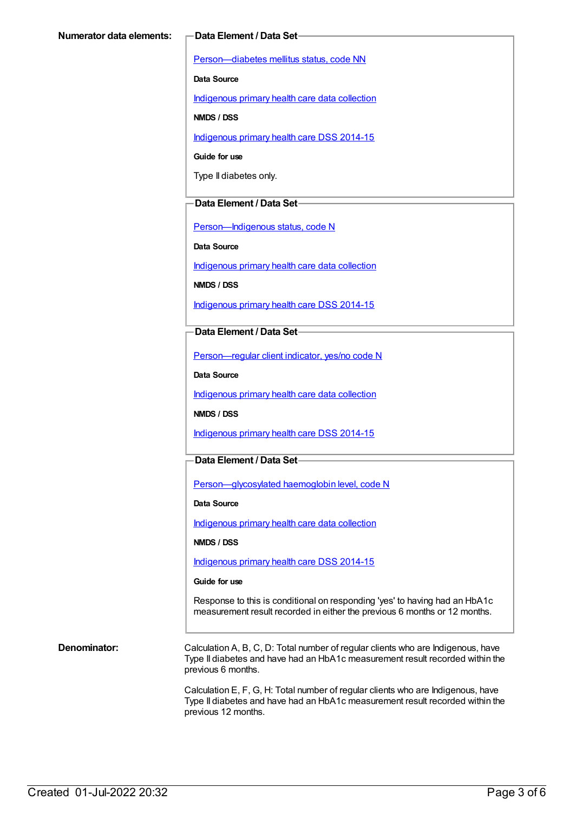[Person—diabetes](https://meteor.aihw.gov.au/content/270194) mellitus status, code NN

**Data Source**

[Indigenous](https://meteor.aihw.gov.au/content/430643) primary health care data collection

**NMDS / DSS**

[Indigenous](https://meteor.aihw.gov.au/content/504325) primary health care DSS 2014-15

**Guide for use**

Type II diabetes only.

#### **Data Element / Data Set**

[Person—Indigenous](https://meteor.aihw.gov.au/content/291036) status, code N

**Data Source**

[Indigenous](https://meteor.aihw.gov.au/content/430643) primary health care data collection

**NMDS / DSS**

[Indigenous](https://meteor.aihw.gov.au/content/504325) primary health care DSS 2014-15

#### **Data Element / Data Set**

[Person—regular](https://meteor.aihw.gov.au/content/436639) client indicator, yes/no code N

**Data Source**

[Indigenous](https://meteor.aihw.gov.au/content/430643) primary health care data collection

**NMDS / DSS**

[Indigenous](https://meteor.aihw.gov.au/content/504325) primary health care DSS 2014-15

### **Data Element / Data Set**

[Person—glycosylated](https://meteor.aihw.gov.au/content/589601) haemoglobin level, code N

**Data Source**

[Indigenous](https://meteor.aihw.gov.au/content/430643) primary health care data collection

**NMDS / DSS**

[Indigenous](https://meteor.aihw.gov.au/content/504325) primary health care DSS 2014-15

#### **Guide for use**

Response to this is conditional on responding 'yes' to having had an HbA1c measurement result recorded in either the previous 6 months or 12 months.

**Denominator:** Calculation A, B, C, D: Total number of regular clients who are Indigenous, have Type II diabetes and have had an HbA1c measurement result recorded within the previous 6 months.

> Calculation E, F, G, H: Total number of regular clients who are Indigenous, have Type II diabetes and have had an HbA1c measurement result recorded within the previous 12 months.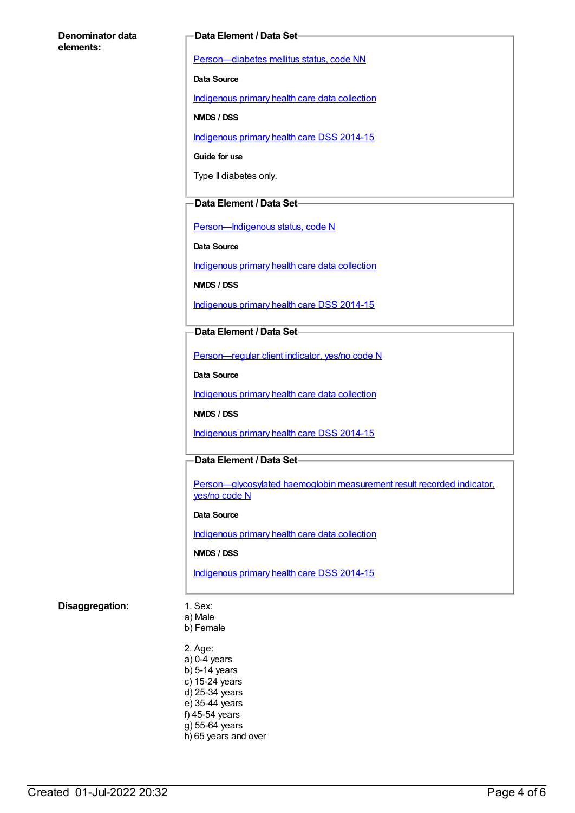#### **Denominator data elements:**

#### **Data Element / Data Set**

[Person—diabetes](https://meteor.aihw.gov.au/content/270194) mellitus status, code NN

**Data Source**

[Indigenous](https://meteor.aihw.gov.au/content/430643) primary health care data collection

**NMDS / DSS**

[Indigenous](https://meteor.aihw.gov.au/content/504325) primary health care DSS 2014-15

**Guide for use**

Type II diabetes only.

### **Data Element / Data Set**

[Person—Indigenous](https://meteor.aihw.gov.au/content/291036) status, code N

**Data Source**

[Indigenous](https://meteor.aihw.gov.au/content/430643) primary health care data collection

**NMDS / DSS**

[Indigenous](https://meteor.aihw.gov.au/content/504325) primary health care DSS 2014-15

### **Data Element / Data Set**

[Person—regular](https://meteor.aihw.gov.au/content/436639) client indicator, yes/no code N

**Data Source**

[Indigenous](https://meteor.aihw.gov.au/content/430643) primary health care data collection

**NMDS / DSS**

[Indigenous](https://meteor.aihw.gov.au/content/504325) primary health care DSS 2014-15

### **Data Element / Data Set**

Person-glycosylated haemoglobin measurement result recorded indicator, yes/no code N

#### **Data Source**

[Indigenous](https://meteor.aihw.gov.au/content/430643) primary health care data collection

#### **NMDS / DSS**

[Indigenous](https://meteor.aihw.gov.au/content/504325) primary health care DSS 2014-15

#### **Disaggregation:** 1. Sex:

- a) Male b) Female
- 2. Age: a) 0-4 years  $b)$  5-14 years c) 15-24 years d) 25-34 years e) 35-44 years f) 45-54 years g) 55-64 years h) 65 years and over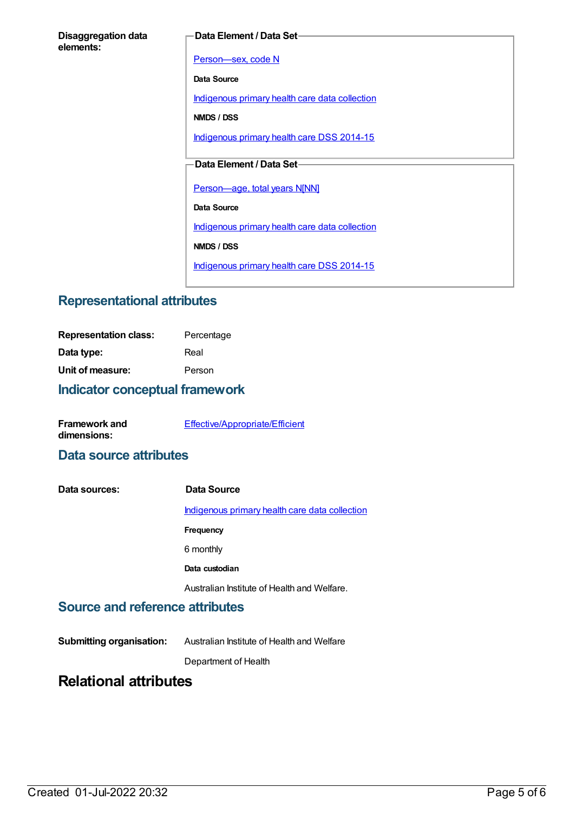| <b>Disaggregation data</b> |  |
|----------------------------|--|
| elements:                  |  |

#### **Data Element / Data Set**

Person-sex, code N

**Data Source**

[Indigenous](https://meteor.aihw.gov.au/content/430643) primary health care data collection

**NMDS / DSS**

[Indigenous](https://meteor.aihw.gov.au/content/504325) primary health care DSS 2014-15

## **Data Element / Data Set**

[Person—age,](https://meteor.aihw.gov.au/content/303794) total years N[NN]

**Data Source**

[Indigenous](https://meteor.aihw.gov.au/content/430643) primary health care data collection

**NMDS / DSS**

[Indigenous](https://meteor.aihw.gov.au/content/504325) primary health care DSS 2014-15

# **Representational attributes**

| <b>Representation class:</b> | Percentage |
|------------------------------|------------|
| Data type:                   | Real       |
| Unit of measure:             | Person     |
|                              |            |

## **Indicator conceptual framework**

| <b>Framework and</b> | Effective/Appropriate/Efficient |
|----------------------|---------------------------------|
| dimensions:          |                                 |

# **Data source attributes**

| Data sources: | Data Source                                    |
|---------------|------------------------------------------------|
|               | Indigenous primary health care data collection |
|               | Frequency                                      |
|               | 6 monthly                                      |
|               | Data custodian                                 |
|               | Australian Institute of Health and Welfare.    |

# **Source and reference attributes**

**Submitting organisation:** Australian Institute of Health and Welfare

Department of Health

# **Relational attributes**